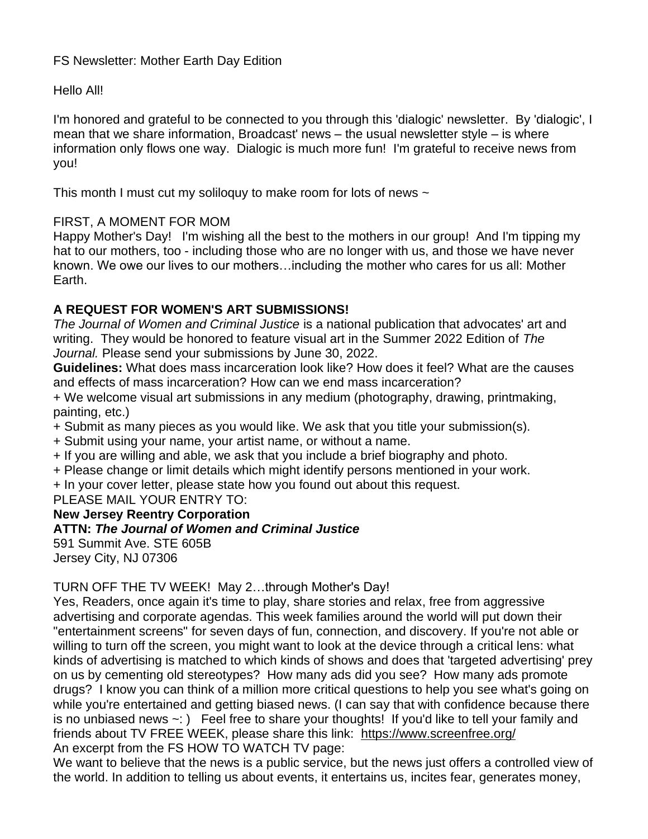# FS Newsletter: Mother Earth Day Edition

Hello All!

I'm honored and grateful to be connected to you through this 'dialogic' newsletter. By 'dialogic', I mean that we share information, Broadcast' news – the usual newsletter style – is where information only flows one way. Dialogic is much more fun! I'm grateful to receive news from you!

This month I must cut my soliloguy to make room for lots of news  $\sim$ 

### FIRST, A MOMENT FOR MOM

Happy Mother's Day! I'm wishing all the best to the mothers in our group! And I'm tipping my hat to our mothers, too - including those who are no longer with us, and those we have never known. We owe our lives to our mothers…including the mother who cares for us all: Mother Earth.

# **A REQUEST FOR WOMEN'S ART SUBMISSIONS!**

*The Journal of Women and Criminal Justice* is a national publication that advocates' art and writing. They would be honored to feature visual art in the Summer 2022 Edition of *The Journal.* Please send your submissions by June 30, 2022.

**Guidelines:** What does mass incarceration look like? How does it feel? What are the causes and effects of mass incarceration? How can we end mass incarceration?

+ We welcome visual art submissions in any medium (photography, drawing, printmaking, painting, etc.)

+ Submit as many pieces as you would like. We ask that you title your submission(s).

+ Submit using your name, your artist name, or without a name.

+ If you are willing and able, we ask that you include a brief biography and photo.

+ Please change or limit details which might identify persons mentioned in your work.

+ In your cover letter, please state how you found out about this request.

PLEASE MAIL YOUR ENTRY TO:

# **New Jersey Reentry Corporation**

# **ATTN:** *The Journal of Women and Criminal Justice*

591 Summit Ave. STE 605B Jersey City, NJ 07306

# TURN OFF THE TV WEEK! May 2…through Mother's Day!

Yes, Readers, once again it's time to play, share stories and relax, free from aggressive advertising and corporate agendas. This week families around the world will put down their "entertainment screens" for seven days of fun, connection, and discovery. If you're not able or willing to turn off the screen, you might want to look at the device through a critical lens: what kinds of advertising is matched to which kinds of shows and does that 'targeted advertising' prey on us by cementing old stereotypes? How many ads did you see? How many ads promote drugs? I know you can think of a million more critical questions to help you see what's going on while you're entertained and getting biased news. (I can say that with confidence because there is no unbiased news ~: ) Feel free to share your thoughts! If you'd like to tell your family and friends about TV FREE WEEK, please share this link: <https://www.screenfree.org/> An excerpt from the FS HOW TO WATCH TV page:

We want to believe that the news is a public service, but the news just offers a controlled view of the world. In addition to telling us about events, it entertains us, incites fear, generates money,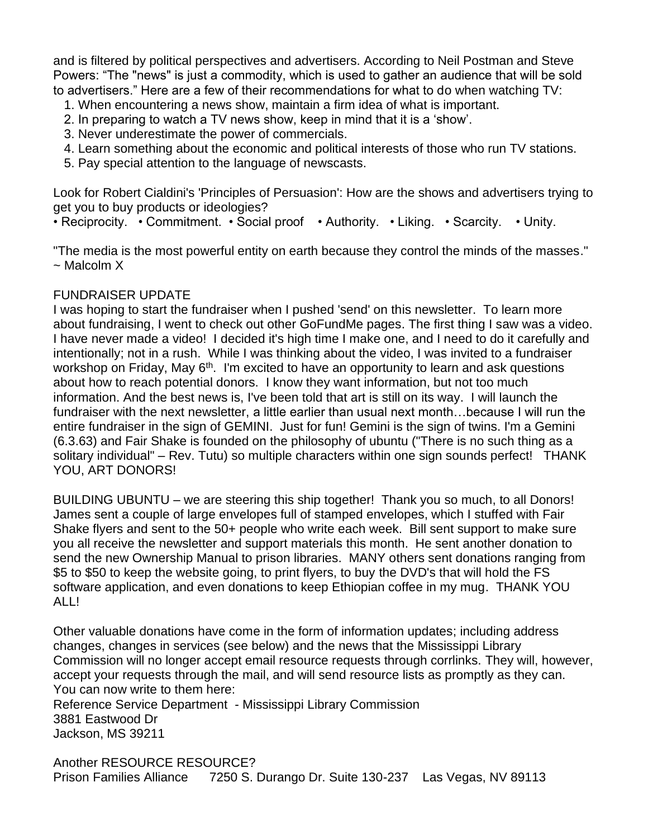and is filtered by political perspectives and advertisers. According to Neil Postman and Steve Powers: "The "news" is just a commodity, which is used to gather an audience that will be sold to advertisers." Here are a few of their recommendations for what to do when watching TV:

- 1. When encountering a news show, maintain a firm idea of what is important.
- 2. In preparing to watch a TV news show, keep in mind that it is a 'show'.
- 3. Never underestimate the power of commercials.
- 4. Learn something about the economic and political interests of those who run TV stations.
- 5. Pay special attention to the language of newscasts.

Look for Robert Cialdini's 'Principles of Persuasion': How are the shows and advertisers trying to get you to buy products or ideologies?

• Reciprocity. • Commitment. • Social proof • Authority. • Liking. • Scarcity. • Unity.

"The media is the most powerful entity on earth because they control the minds of the masses." ~ Malcolm X

#### FUNDRAISER UPDATE

I was hoping to start the fundraiser when I pushed 'send' on this newsletter. To learn more about fundraising, I went to check out other GoFundMe pages. The first thing I saw was a video. I have never made a video! I decided it's high time I make one, and I need to do it carefully and intentionally; not in a rush. While I was thinking about the video, I was invited to a fundraiser workshop on Friday, May 6<sup>th</sup>. I'm excited to have an opportunity to learn and ask questions about how to reach potential donors. I know they want information, but not too much information. And the best news is, I've been told that art is still on its way. I will launch the fundraiser with the next newsletter, a little earlier than usual next month...because I will run the entire fundraiser in the sign of GEMINI. Just for fun! Gemini is the sign of twins. I'm a Gemini (6.3.63) and Fair Shake is founded on the philosophy of ubuntu ("There is no such thing as a solitary individual" – Rev. Tutu) so multiple characters within one sign sounds perfect! THANK YOU, ART DONORS!

BUILDING UBUNTU – we are steering this ship together! Thank you so much, to all Donors! James sent a couple of large envelopes full of stamped envelopes, which I stuffed with Fair Shake flyers and sent to the 50+ people who write each week. Bill sent support to make sure you all receive the newsletter and support materials this month. He sent another donation to send the new Ownership Manual to prison libraries. MANY others sent donations ranging from \$5 to \$50 to keep the website going, to print flyers, to buy the DVD's that will hold the FS software application, and even donations to keep Ethiopian coffee in my mug. THANK YOU ALL!

Other valuable donations have come in the form of information updates; including address changes, changes in services (see below) and the news that the Mississippi Library Commission will no longer accept email resource requests through corrlinks. They will, however, accept your requests through the mail, and will send resource lists as promptly as they can. You can now write to them here:

Reference Service Department - Mississippi Library Commission 3881 Eastwood Dr Jackson, MS 39211

Another RESOURCE RESOURCE? Prison Families Alliance 7250 S. Durango Dr. Suite 130-237 Las Vegas, NV 89113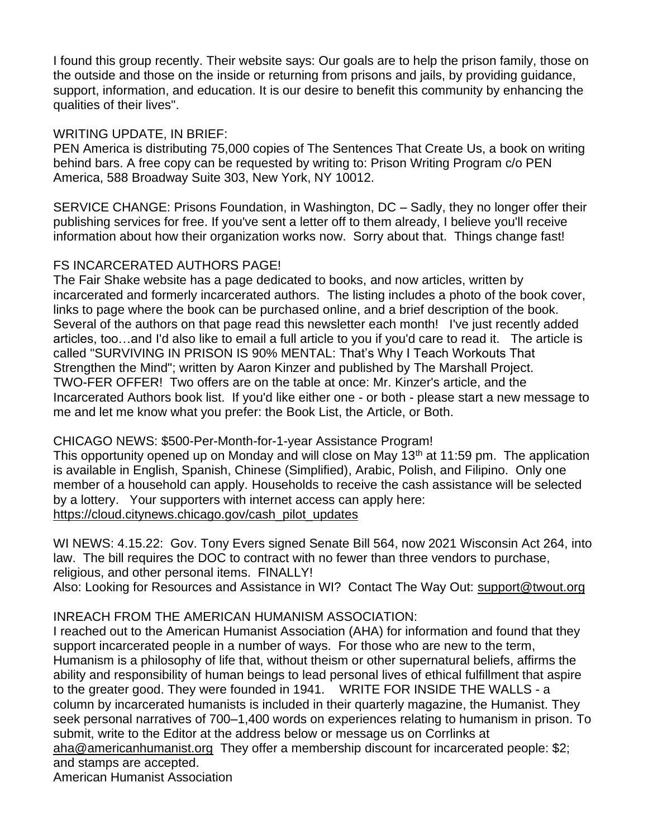I found this group recently. Their website says: Our goals are to help the prison family, those on the outside and those on the inside or returning from prisons and jails, by providing guidance, support, information, and education. It is our desire to benefit this community by enhancing the qualities of their lives".

### WRITING UPDATE, IN BRIEF:

PEN America is distributing 75,000 copies of The Sentences That Create Us, a book on writing behind bars. A free copy can be requested by writing to: Prison Writing Program c/o PEN America, 588 Broadway Suite 303, New York, NY 10012.

SERVICE CHANGE: Prisons Foundation, in Washington, DC – Sadly, they no longer offer their publishing services for free. If you've sent a letter off to them already, I believe you'll receive information about how their organization works now. Sorry about that. Things change fast!

# FS INCARCERATED AUTHORS PAGE!

The Fair Shake website has a page dedicated to books, and now articles, written by incarcerated and formerly incarcerated authors. The listing includes a photo of the book cover, links to page where the book can be purchased online, and a brief description of the book. Several of the authors on that page read this newsletter each month! I've just recently added articles, too…and I'd also like to email a full article to you if you'd care to read it. The article is called "SURVIVING IN PRISON IS 90% MENTAL: That's Why I Teach Workouts That Strengthen the Mind"; written by Aaron Kinzer and published by The Marshall Project. TWO-FER OFFER! Two offers are on the table at once: Mr. Kinzer's article, and the Incarcerated Authors book list. If you'd like either one - or both - please start a new message to me and let me know what you prefer: the Book List, the Article, or Both.

# CHICAGO NEWS: \$500-Per-Month-for-1-year Assistance Program!

This opportunity opened up on Monday and will close on May  $13<sup>th</sup>$  at 11:59 pm. The application is available in English, Spanish, Chinese (Simplified), Arabic, Polish, and Filipino. Only one member of a household can apply. Households to receive the cash assistance will be selected by a lottery. Your supporters with internet access can apply here: [https://cloud.citynews.chicago.gov/cash\\_pilot\\_updates](https://cloud.citynews.chicago.gov/cash_pilot_updates)

WI NEWS: 4.15.22: Gov. Tony Evers signed Senate Bill 564, now 2021 Wisconsin Act 264, into law. The bill requires the DOC to contract with no fewer than three vendors to purchase, religious, and other personal items. FINALLY! Also: Looking for Resources and Assistance in WI? Contact The Way Out: [support@twout.org](mailto:support@twout.org)

# INREACH FROM THE AMERICAN HUMANISM ASSOCIATION:

I reached out to the American Humanist Association (AHA) for information and found that they support incarcerated people in a number of ways. For those who are new to the term, Humanism is a philosophy of life that, without theism or other supernatural beliefs, affirms the ability and responsibility of human beings to lead personal lives of ethical fulfillment that aspire to the greater good. They were founded in 1941. WRITE FOR INSIDE THE WALLS - a column by incarcerated humanists is included in their quarterly magazine, the Humanist. They seek personal narratives of 700–1,400 words on experiences relating to humanism in prison. To submit, write to the Editor at the address below or message us on Corrlinks at [aha@americanhumanist.org](mailto:aha@americanhumanist.org) They offer a membership discount for incarcerated people: \$2;

and stamps are accepted.

American Humanist Association